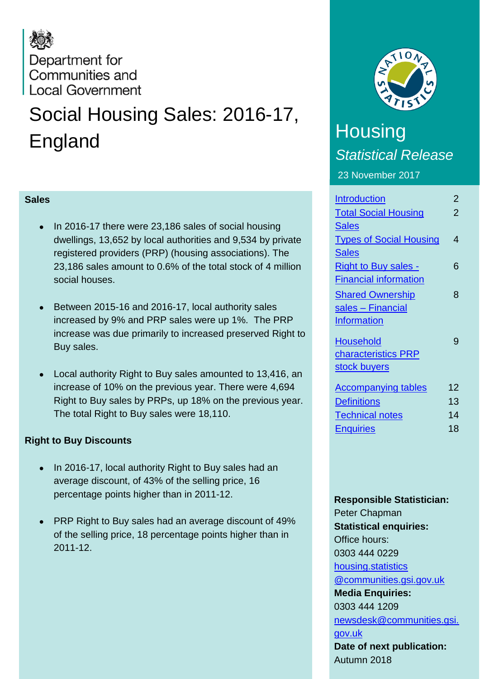## Department for Communities and **Local Government**

# Social Housing Sales: 2016-17, England

### **Sales**

- In 2016-17 there were 23,186 sales of social housing dwellings, 13,652 by local authorities and 9,534 by private registered providers (PRP) (housing associations). The 23,186 sales amount to 0.6% of the total stock of 4 million social houses.
- Between 2015-16 and 2016-17, local authority sales increased by 9% and PRP sales were up 1%. The PRP increase was due primarily to increased preserved Right to Buy sales.
- Local authority Right to Buy sales amounted to 13,416, an increase of 10% on the previous year. There were 4,694 Right to Buy sales by PRPs, up 18% on the previous year. The total Right to Buy sales were 18,110.

### **Right to Buy Discounts**

- In 2016-17, local authority Right to Buy sales had an average discount, of 43% of the selling price, 16 percentage points higher than in 2011-12.
- PRP Right to Buy sales had an average discount of 49% of the selling price, 18 percentage points higher than in 2011-12.



### **Housing** *Statistical Release* 23 November 2017

| <b>Introduction</b>            | $\overline{2}$ |
|--------------------------------|----------------|
| <b>Total Social Housing</b>    | $\overline{2}$ |
| <b>Sales</b>                   |                |
| <b>Types of Social Housing</b> | 4              |
| <b>Sales</b>                   |                |
| <b>Right to Buy sales -</b>    | 6              |
| <b>Financial information</b>   |                |
| <b>Shared Ownership</b>        | 8              |
| sales - Financial              |                |
| <b>Information</b>             |                |
| <b>Household</b>               | g              |
| characteristics PRP            |                |
| stock buyers                   |                |
| <b>Accompanying tables</b>     | 12             |
| <b>Definitions</b>             | 13             |
| <b>Technical notes</b>         | 14             |
| <b>Enquiries</b>               | 18             |

#### **Responsible Statistician:**

Peter Chapman **Statistical enquiries:** Office hours: 0303 444 0229 [housing.statistics](mailto:housing.statistics@communities.gsi.gov.uk)  [@communities.gsi.gov.uk](mailto:housing.statistics@communities.gsi.gov.uk) **Media Enquiries:** 0303 444 1209 [newsdesk@communities.gsi.](mailto:newsdesk@communities.gsi.gov.uk) [gov.uk](mailto:newsdesk@communities.gsi.gov.uk) **Date of next publication:** Autumn 2018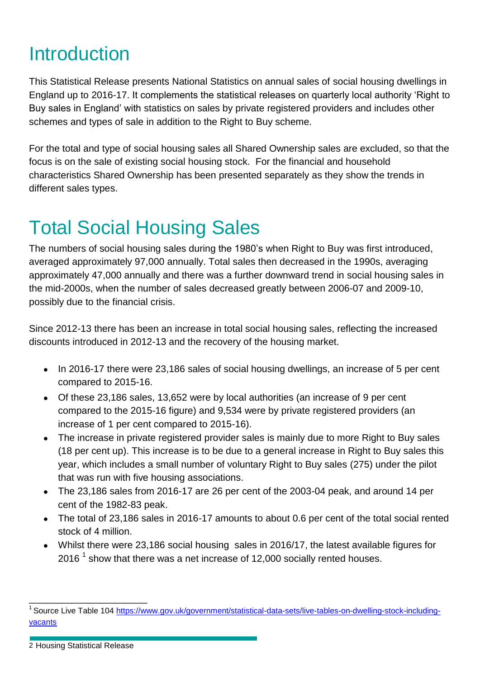## <span id="page-1-0"></span>Introduction

This Statistical Release presents National Statistics on annual sales of social housing dwellings in England up to 2016-17. It complements the statistical releases on quarterly local authority 'Right to Buy sales in England' with statistics on sales by private registered providers and includes other schemes and types of sale in addition to the Right to Buy scheme.

For the total and type of social housing sales all Shared Ownership sales are excluded, so that the focus is on the sale of existing social housing stock. For the financial and household characteristics Shared Ownership has been presented separately as they show the trends in different sales types.

# <span id="page-1-1"></span>Total Social Housing Sales

The numbers of social housing sales during the 1980's when Right to Buy was first introduced, averaged approximately 97,000 annually. Total sales then decreased in the 1990s, averaging approximately 47,000 annually and there was a further downward trend in social housing sales in the mid-2000s, when the number of sales decreased greatly between 2006-07 and 2009-10, possibly due to the financial crisis.

Since 2012-13 there has been an increase in total social housing sales, reflecting the increased discounts introduced in 2012-13 and the recovery of the housing market.

- In 2016-17 there were 23,186 sales of social housing dwellings, an increase of 5 per cent compared to 2015-16.
- Of these 23,186 sales, 13,652 were by local authorities (an increase of 9 per cent compared to the 2015-16 figure) and 9,534 were by private registered providers (an increase of 1 per cent compared to 2015-16).
- The increase in private registered provider sales is mainly due to more Right to Buy sales (18 per cent up). This increase is to be due to a general increase in Right to Buy sales this year, which includes a small number of voluntary Right to Buy sales (275) under the pilot that was run with five housing associations.
- The 23,186 sales from 2016-17 are 26 per cent of the 2003-04 peak, and around 14 per cent of the 1982-83 peak.
- The total of 23,186 sales in 2016-17 amounts to about 0.6 per cent of the total social rented stock of 4 million.
- Whilst there were 23,186 social housing sales in 2016/17, the latest available figures for 2016<sup>1</sup> show that there was a net increase of 12,000 socially rented houses.

2 Housing Statistical Release

\_\_\_\_\_\_\_\_\_\_\_\_\_\_\_\_\_\_\_\_\_\_

<sup>&</sup>lt;sup>1</sup> Source Live Table 104 [https://www.gov.uk/government/statistical-data-sets/live-tables-on-dwelling-stock-including](https://www.gov.uk/government/statistical-data-sets/live-tables-on-dwelling-stock-including-vacants)[vacants](https://www.gov.uk/government/statistical-data-sets/live-tables-on-dwelling-stock-including-vacants)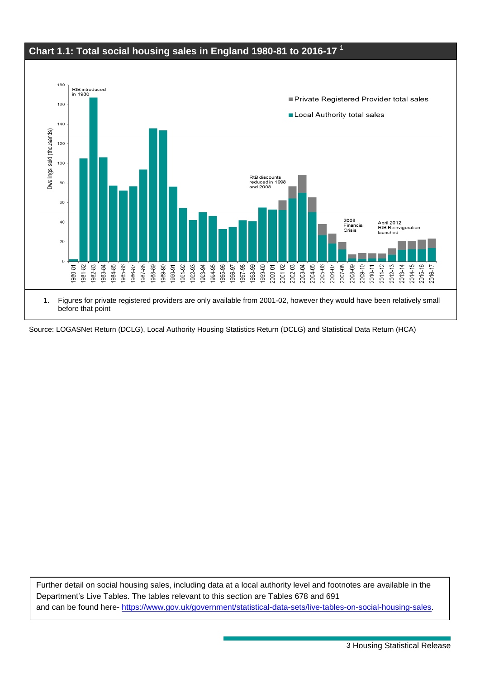

Source: LOGASNet Return (DCLG), Local Authority Housing Statistics Return (DCLG) and Statistical Data Return (HCA)

<span id="page-2-0"></span>Further detail on social housing sales, including data at a local authority level and footnotes are available in the Department's Live Tables. The tables relevant to this section are Tables 678 and 691 and can be found here- [https://www.gov.uk/government/statistical-data-sets/live-tables-on-social-housing-sales.](https://www.gov.uk/government/statistical-data-sets/live-tables-on-social-housing-sales)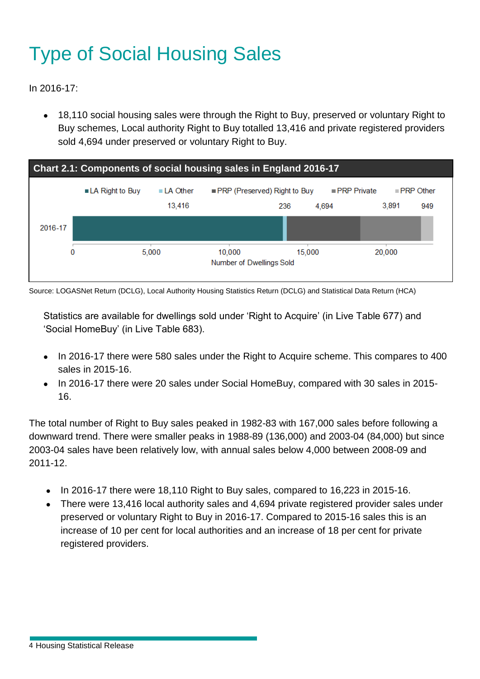# Type of Social Housing Sales

In 2016-17:

 18,110 social housing sales were through the Right to Buy, preserved or voluntary Right to Buy schemes, Local authority Right to Buy totalled 13,416 and private registered providers sold 4,694 under preserved or voluntary Right to Buy.



Source: LOGASNet Return (DCLG), Local Authority Housing Statistics Return (DCLG) and Statistical Data Return (HCA)

Statistics are available for dwellings sold under 'Right to Acquire' (in Live Table 677) and 'Social HomeBuy' (in Live Table 683).

- In 2016-17 there were 580 sales under the Right to Acquire scheme. This compares to 400 sales in 2015-16.
- In 2016-17 there were 20 sales under Social HomeBuy, compared with 30 sales in 2015-16.

The total number of Right to Buy sales peaked in 1982-83 with 167,000 sales before following a downward trend. There were smaller peaks in 1988-89 (136,000) and 2003-04 (84,000) but since 2003-04 sales have been relatively low, with annual sales below 4,000 between 2008-09 and 2011-12.

- $\bullet$  In 2016-17 there were 18,110 Right to Buy sales, compared to 16,223 in 2015-16.
- There were 13,416 local authority sales and 4,694 private registered provider sales under preserved or voluntary Right to Buy in 2016-17. Compared to 2015-16 sales this is an increase of 10 per cent for local authorities and an increase of 18 per cent for private registered providers.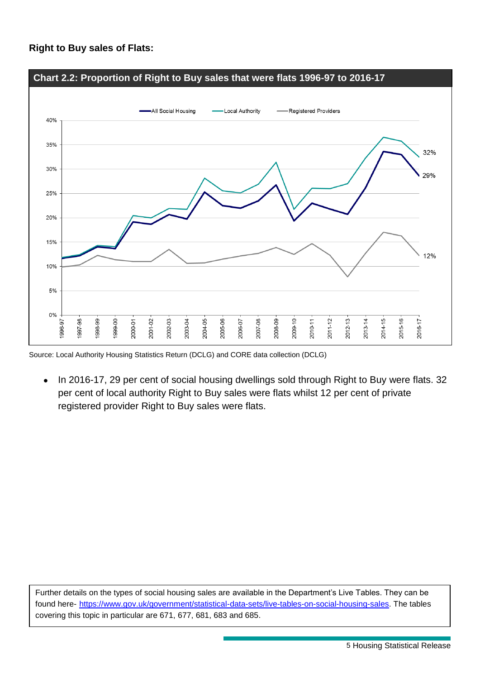#### **Right to Buy sales of Flats:**



Source: Local Authority Housing Statistics Return (DCLG) and CORE data collection (DCLG)

 In 2016-17, 29 per cent of social housing dwellings sold through Right to Buy were flats. 32 per cent of local authority Right to Buy sales were flats whilst 12 per cent of private registered provider Right to Buy sales were flats.

<span id="page-4-0"></span>Further details on the types of social housing sales are available in the Department's Live Tables. They can be found here- [https://www.gov.uk/government/statistical-data-sets/live-tables-on-social-housing-sales.](https://www.gov.uk/government/statistical-data-sets/live-tables-on-social-housing-sales) The tables covering this topic in particular are 671, 677, 681, 683 and 685.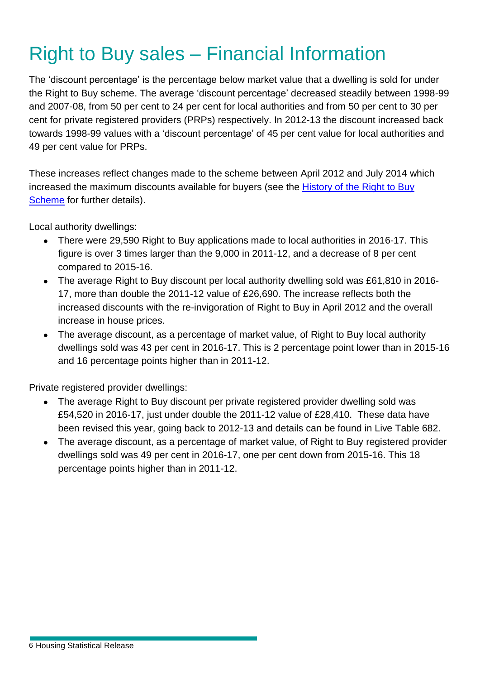# Right to Buy sales – Financial Information

The 'discount percentage' is the percentage below market value that a dwelling is sold for under the Right to Buy scheme. The average 'discount percentage' decreased steadily between 1998-99 and 2007-08, from 50 per cent to 24 per cent for local authorities and from 50 per cent to 30 per cent for private registered providers (PRPs) respectively. In 2012-13 the discount increased back towards 1998-99 values with a 'discount percentage' of 45 per cent value for local authorities and 49 per cent value for PRPs.

These increases reflect changes made to the scheme between April 2012 and July 2014 which increased the maximum discounts available for buyers (see the [History of the Right to Buy](#page-12-1)  [Scheme](#page-12-1) for further details).

Local authority dwellings:

- There were 29,590 Right to Buy applications made to local authorities in 2016-17. This figure is over 3 times larger than the 9,000 in 2011-12, and a decrease of 8 per cent compared to 2015-16.
- The average Right to Buy discount per local authority dwelling sold was £61,810 in 2016- 17, more than double the 2011-12 value of £26,690. The increase reflects both the increased discounts with the re-invigoration of Right to Buy in April 2012 and the overall increase in house prices.
- The average discount, as a percentage of market value, of Right to Buy local authority dwellings sold was 43 per cent in 2016-17. This is 2 percentage point lower than in 2015-16 and 16 percentage points higher than in 2011-12.

Private registered provider dwellings:

- The average Right to Buy discount per private registered provider dwelling sold was £54,520 in 2016-17, just under double the 2011-12 value of £28,410. These data have been revised this year, going back to 2012-13 and details can be found in Live Table 682.
- The average discount, as a percentage of market value, of Right to Buy registered provider dwellings sold was 49 per cent in 2016-17, one per cent down from 2015-16. This 18 percentage points higher than in 2011-12.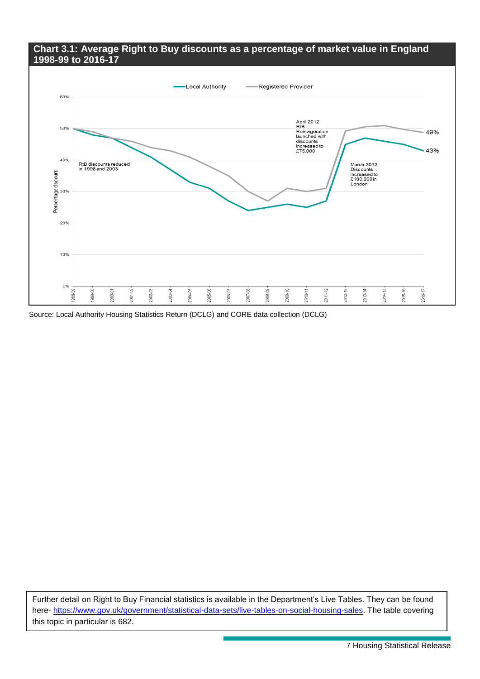#### **Chart 3.1: Average Right to Buy discounts as a percentage of market value in England 1998-99 to 2016-17**



Source: Local Authority Housing Statistics Return (DCLG) and CORE data collection (DCLG)

Further detail on Right to Buy Financial statistics is available in the Department's Live Tables. They can be found here- [https://www.gov.uk/government/statistical-data-sets/live-tables-on-social-housing-sales.](https://www.gov.uk/government/statistical-data-sets/live-tables-on-social-housing-sales) The table covering this topic in particular is 682.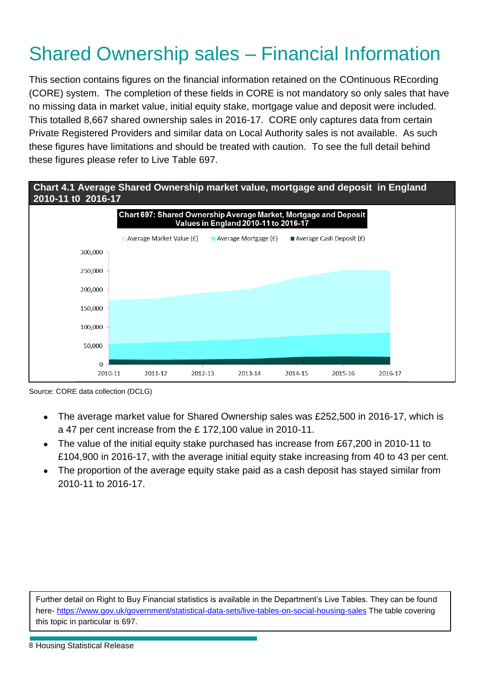## <span id="page-7-0"></span>Shared Ownership sales – Financial Information

This section contains figures on the financial information retained on the COntinuous REcording (CORE) system. The completion of these fields in CORE is not mandatory so only sales that have no missing data in market value, initial equity stake, mortgage value and deposit were included. This totalled 8,667 shared ownership sales in 2016-17. CORE only captures data from certain Private Registered Providers and similar data on Local Authority sales is not available. As such these figures have limitations and should be treated with caution. To see the full detail behind these figures please refer to Live Table 697.



Source: CORE data collection (DCLG)

- The average market value for Shared Ownership sales was £252,500 in 2016-17, which is a 47 per cent increase from the £ 172,100 value in 2010-11.
- The value of the initial equity stake purchased has increase from £67,200 in 2010-11 to £104,900 in 2016-17, with the average initial equity stake increasing from 40 to 43 per cent.
- The proportion of the average equity stake paid as a cash deposit has stayed similar from 2010-11 to 2016-17.

<span id="page-7-1"></span>Further detail on Right to Buy Financial statistics is available in the Department's Live Tables. They can be found here- <https://www.gov.uk/government/statistical-data-sets/live-tables-on-social-housing-sales> The table covering this topic in particular is 697.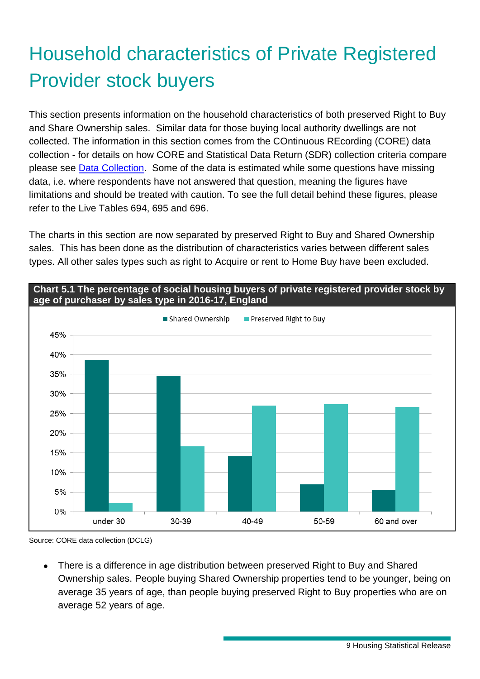# Household characteristics of Private Registered Provider stock buyers

This section presents information on the household characteristics of both preserved Right to Buy and Share Ownership sales. Similar data for those buying local authority dwellings are not collected. The information in this section comes from the COntinuous REcording (CORE) data collection - for details on how CORE and Statistical Data Return (SDR) collection criteria compare please see Data [Collection.](#page-13-1) Some of the data is estimated while some questions have missing data, i.e. where respondents have not answered that question, meaning the figures have limitations and should be treated with caution. To see the full detail behind these figures, please refer to the Live Tables 694, 695 and 696.

The charts in this section are now separated by preserved Right to Buy and Shared Ownership sales. This has been done as the distribution of characteristics varies between different sales types. All other sales types such as right to Acquire or rent to Home Buy have been excluded.



**Chart 5.1 The percentage of social housing buyers of private registered provider stock by age of purchaser by sales type in 2016-17, England**

<span id="page-8-0"></span> There is a difference in age distribution between preserved Right to Buy and Shared Ownership sales. People buying Shared Ownership properties tend to be younger, being on average 35 years of age, than people buying preserved Right to Buy properties who are on average 52 years of age.

Source: CORE data collection (DCLG)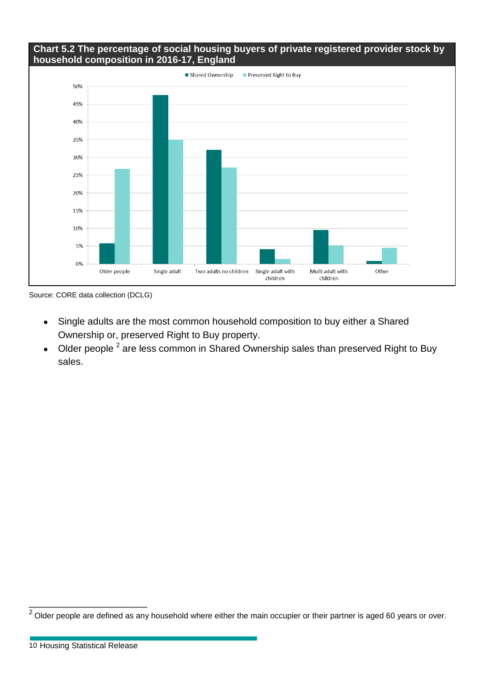#### **Chart 5.2 The percentage of social housing buyers of private registered provider stock by household composition in 2016-17, England**



Source: CORE data collection (DCLG)

- Single adults are the most common household composition to buy either a Shared Ownership or, preserved Right to Buy property.
- Older people  $^2$  are less common in Shared Ownership sales than preserved Right to Buy sales.

\_\_\_\_\_\_\_\_\_\_\_\_\_\_\_\_\_\_\_\_\_\_

 $2$  Older people are defined as any household where either the main occupier or their partner is aged 60 years or over.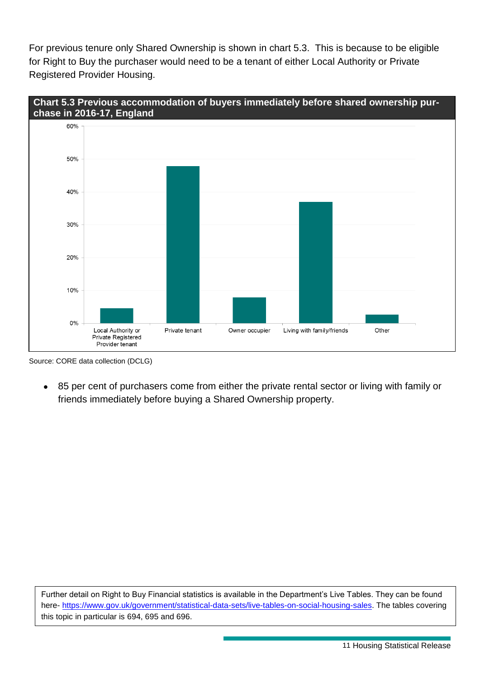For previous tenure only Shared Ownership is shown in chart 5.3. This is because to be eligible for Right to Buy the purchaser would need to be a tenant of either Local Authority or Private Registered Provider Housing.



Source: CORE data collection (DCLG)

 85 per cent of purchasers come from either the private rental sector or living with family or friends immediately before buying a Shared Ownership property.

Further detail on Right to Buy Financial statistics is available in the Department's Live Tables. They can be found here- [https://www.gov.uk/government/statistical-data-sets/live-tables-on-social-housing-sales.](https://www.gov.uk/government/statistical-data-sets/live-tables-on-social-housing-sales) The tables covering this topic in particular is 694, 695 and 696.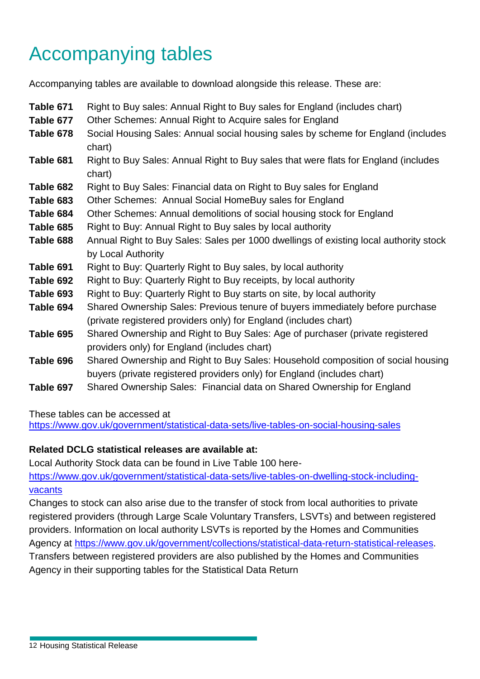# Accompanying tables

Accompanying tables are available to download alongside this release. These are:

| Table 671 | Right to Buy sales: Annual Right to Buy sales for England (includes chart)            |
|-----------|---------------------------------------------------------------------------------------|
| Table 677 | Other Schemes: Annual Right to Acquire sales for England                              |
| Table 678 | Social Housing Sales: Annual social housing sales by scheme for England (includes     |
|           | chart)                                                                                |
| Table 681 | Right to Buy Sales: Annual Right to Buy sales that were flats for England (includes   |
|           | chart)                                                                                |
| Table 682 | Right to Buy Sales: Financial data on Right to Buy sales for England                  |
| Table 683 | Other Schemes: Annual Social HomeBuy sales for England                                |
| Table 684 | Other Schemes: Annual demolitions of social housing stock for England                 |
| Table 685 | Right to Buy: Annual Right to Buy sales by local authority                            |
| Table 688 | Annual Right to Buy Sales: Sales per 1000 dwellings of existing local authority stock |
|           | by Local Authority                                                                    |
| Table 691 | Right to Buy: Quarterly Right to Buy sales, by local authority                        |
| Table 692 | Right to Buy: Quarterly Right to Buy receipts, by local authority                     |
| Table 693 | Right to Buy: Quarterly Right to Buy starts on site, by local authority               |
| Table 694 | Shared Ownership Sales: Previous tenure of buyers immediately before purchase         |
|           | (private registered providers only) for England (includes chart)                      |
| Table 695 | Shared Ownership and Right to Buy Sales: Age of purchaser (private registered         |
|           | providers only) for England (includes chart)                                          |
| Table 696 | Shared Ownership and Right to Buy Sales: Household composition of social housing      |
|           | buyers (private registered providers only) for England (includes chart)               |
| Table 697 | Shared Ownership Sales: Financial data on Shared Ownership for England                |

These tables can be accessed at

<https://www.gov.uk/government/statistical-data-sets/live-tables-on-social-housing-sales>

### **Related DCLG statistical releases are available at:**

Local Authority Stock data can be found in Live Table 100 here-

[https://www.gov.uk/government/statistical-data-sets/live-tables-on-dwelling-stock-including](https://www.gov.uk/government/statistical-data-sets/live-tables-on-dwelling-stock-including-vacants)[vacants](https://www.gov.uk/government/statistical-data-sets/live-tables-on-dwelling-stock-including-vacants)

Changes to stock can also arise due to the transfer of stock from local authorities to private registered providers (through Large Scale Voluntary Transfers, LSVTs) and between registered providers. Information on local authority LSVTs is reported by the Homes and Communities Agency at [https://www.gov.uk/government/collections/statistical-data-return-statistical-releases.](https://www.gov.uk/government/collections/statistical-data-return-statistical-releases) Transfers between registered providers are also published by the Homes and Communities Agency in their supporting tables for the Statistical Data Return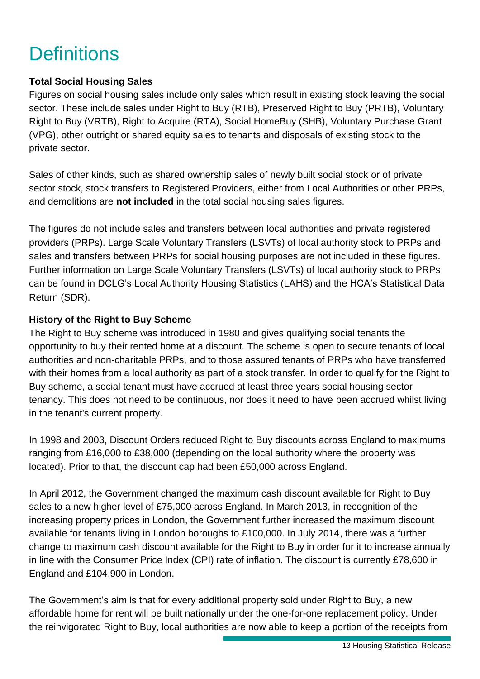## <span id="page-12-0"></span>**Definitions**

### **Total Social Housing Sales**

Figures on social housing sales include only sales which result in existing stock leaving the social sector. These include sales under Right to Buy (RTB), Preserved Right to Buy (PRTB), Voluntary Right to Buy (VRTB), Right to Acquire (RTA), Social HomeBuy (SHB), Voluntary Purchase Grant (VPG), other outright or shared equity sales to tenants and disposals of existing stock to the private sector.

Sales of other kinds, such as shared ownership sales of newly built social stock or of private sector stock, stock transfers to Registered Providers, either from Local Authorities or other PRPs, and demolitions are **not included** in the total social housing sales figures.

The figures do not include sales and transfers between local authorities and private registered providers (PRPs). Large Scale Voluntary Transfers (LSVTs) of local authority stock to PRPs and sales and transfers between PRPs for social housing purposes are not included in these figures. Further information on Large Scale Voluntary Transfers (LSVTs) of local authority stock to PRPs can be found in DCLG's Local Authority Housing Statistics (LAHS) and the HCA's Statistical Data Return (SDR).

#### <span id="page-12-1"></span>**History of the Right to Buy Scheme**

The Right to Buy scheme was introduced in 1980 and gives qualifying social tenants the opportunity to buy their rented home at a discount. The scheme is open to secure tenants of local authorities and non-charitable PRPs, and to those assured tenants of PRPs who have transferred with their homes from a local authority as part of a stock transfer. In order to qualify for the Right to Buy scheme, a social tenant must have accrued at least three years social housing sector tenancy. This does not need to be continuous, nor does it need to have been accrued whilst living in the tenant's current property.

In 1998 and 2003, Discount Orders reduced Right to Buy discounts across England to maximums ranging from £16,000 to £38,000 (depending on the local authority where the property was located). Prior to that, the discount cap had been £50,000 across England.

In April 2012, the Government changed the maximum cash discount available for Right to Buy sales to a new higher level of £75,000 across England. In March 2013, in recognition of the increasing property prices in London, the Government further increased the maximum discount available for tenants living in London boroughs to £100,000. In July 2014, there was a further change to maximum cash discount available for the Right to Buy in order for it to increase annually in line with the Consumer Price Index (CPI) rate of inflation. The discount is currently £78,600 in England and £104,900 in London.

The Government's aim is that for every additional property sold under Right to Buy, a new affordable home for rent will be built nationally under the one-for-one replacement policy. Under the reinvigorated Right to Buy, local authorities are now able to keep a portion of the receipts from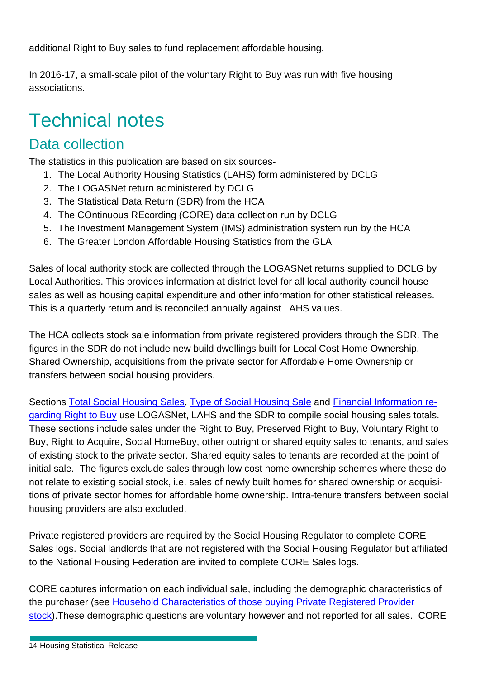additional Right to Buy sales to fund replacement affordable housing.

In 2016-17, a small-scale pilot of the voluntary Right to Buy was run with five housing associations.

## <span id="page-13-0"></span>Technical notes

### Data collection

The statistics in this publication are based on six sources-

- <span id="page-13-1"></span>1. The Local Authority Housing Statistics (LAHS) form administered by DCLG
- 2. The LOGASNet return administered by DCLG
- 3. The Statistical Data Return (SDR) from the HCA
- 4. The COntinuous REcording (CORE) data collection run by DCLG
- 5. The Investment Management System (IMS) administration system run by the HCA
- 6. The Greater London Affordable Housing Statistics from the GLA

Sales of local authority stock are collected through the LOGASNet returns supplied to DCLG by Local Authorities. This provides information at district level for all local authority council house sales as well as housing capital expenditure and other information for other statistical releases. This is a quarterly return and is reconciled annually against LAHS values.

The HCA collects stock sale information from private registered providers through the SDR. The figures in the SDR do not include new build dwellings built for Local Cost Home Ownership, Shared Ownership, acquisitions from the private sector for Affordable Home Ownership or transfers between social housing providers.

Sections [Total Social Housing Sales,](#page-1-1) [Type of Social Housing Sale](#page-2-0) and [Financial Information re](#page-4-0)[garding Right to Buy](#page-4-0) use LOGASNet, LAHS and the SDR to compile social housing sales totals. These sections include sales under the Right to Buy, Preserved Right to Buy, Voluntary Right to Buy, Right to Acquire, Social HomeBuy, other outright or shared equity sales to tenants, and sales of existing stock to the private sector. Shared equity sales to tenants are recorded at the point of initial sale. The figures exclude sales through low cost home ownership schemes where these do not relate to existing social stock, i.e. sales of newly built homes for shared ownership or acquisitions of private sector homes for affordable home ownership. Intra-tenure transfers between social housing providers are also excluded.

Private registered providers are required by the Social Housing Regulator to complete CORE Sales logs. Social landlords that are not registered with the Social Housing Regulator but affiliated to the National Housing Federation are invited to complete CORE Sales logs.

CORE captures information on each individual sale, including the demographic characteristics of the purchaser (see [Household Characteristics of those buying Private Registered Provider](#page-7-1)  [stock\)](#page-7-1). These demographic questions are voluntary however and not reported for all sales. CORE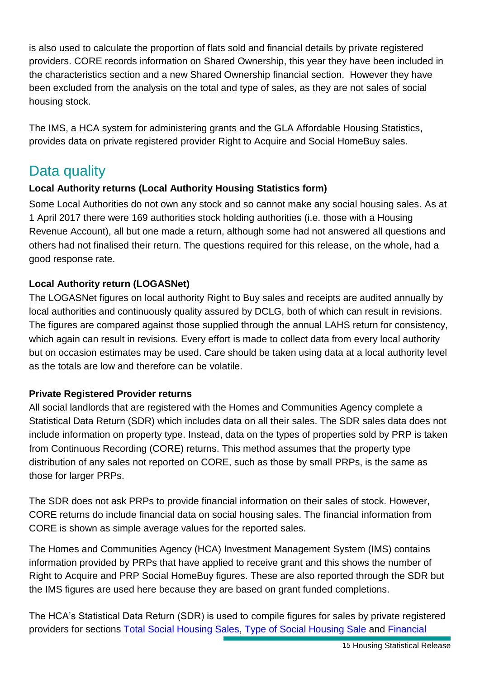is also used to calculate the proportion of flats sold and financial details by private registered providers. CORE records information on Shared Ownership, this year they have been included in the characteristics section and a new Shared Ownership financial section. However they have been excluded from the analysis on the total and type of sales, as they are not sales of social housing stock.

The IMS, a HCA system for administering grants and the GLA Affordable Housing Statistics, provides data on private registered provider Right to Acquire and Social HomeBuy sales.

### Data quality

### **Local Authority returns (Local Authority Housing Statistics form)**

Some Local Authorities do not own any stock and so cannot make any social housing sales. As at 1 April 2017 there were 169 authorities stock holding authorities (i.e. those with a Housing Revenue Account), all but one made a return, although some had not answered all questions and others had not finalised their return. The questions required for this release, on the whole, had a good response rate.

### **Local Authority return (LOGASNet)**

The LOGASNet figures on local authority Right to Buy sales and receipts are audited annually by local authorities and continuously quality assured by DCLG, both of which can result in revisions. The figures are compared against those supplied through the annual LAHS return for consistency, which again can result in revisions. Every effort is made to collect data from every local authority but on occasion estimates may be used. Care should be taken using data at a local authority level as the totals are low and therefore can be volatile.

### **Private Registered Provider returns**

All social landlords that are registered with the Homes and Communities Agency complete a Statistical Data Return (SDR) which includes data on all their sales. The SDR sales data does not include information on property type. Instead, data on the types of properties sold by PRP is taken from Continuous Recording (CORE) returns. This method assumes that the property type distribution of any sales not reported on CORE, such as those by small PRPs, is the same as those for larger PRPs.

The SDR does not ask PRPs to provide financial information on their sales of stock. However, CORE returns do include financial data on social housing sales. The financial information from CORE is shown as simple average values for the reported sales.

The Homes and Communities Agency (HCA) Investment Management System (IMS) contains information provided by PRPs that have applied to receive grant and this shows the number of Right to Acquire and PRP Social HomeBuy figures. These are also reported through the SDR but the IMS figures are used here because they are based on grant funded completions.

The HCA's Statistical Data Return (SDR) is used to compile figures for sales by private registered providers for sections [Total Social Housing Sales,](#page-1-1) [Type of Social Housing Sale](#page-2-0) and [Financial](#page-4-0)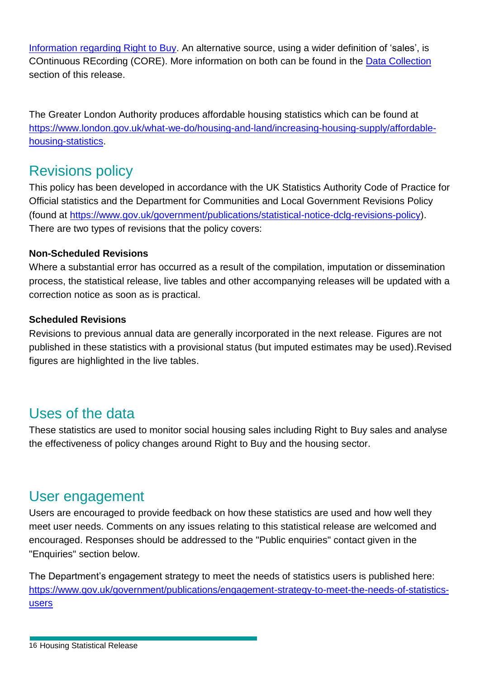[Information regarding Right to Buy.](#page-4-0) An alternative source, using a wider definition of 'sales', is COntinuous REcording (CORE). More information on both can be found in the [Data Collection](#page-13-1) section of this release.

The Greater London Authority produces affordable housing statistics which can be found at [https://www.london.gov.uk/what-we-do/housing-and-land/increasing-housing-supply/affordable](https://www.london.gov.uk/what-we-do/housing-and-land/increasing-housing-supply/affordable-housing-statistics)[housing-statistics.](https://www.london.gov.uk/what-we-do/housing-and-land/increasing-housing-supply/affordable-housing-statistics)

### Revisions policy

This policy has been developed in accordance with the UK Statistics Authority Code of Practice for Official statistics and the Department for Communities and Local Government Revisions Policy (found at [https://www.gov.uk/government/publications/statistical-notice-dclg-revisions-policy\)](https://www.gov.uk/government/publications/statistical-notice-dclg-revisions-policy). There are two types of revisions that the policy covers:

### **Non-Scheduled Revisions**

Where a substantial error has occurred as a result of the compilation, imputation or dissemination process, the statistical release, live tables and other accompanying releases will be updated with a correction notice as soon as is practical.

#### **Scheduled Revisions**

Revisions to previous annual data are generally incorporated in the next release. Figures are not published in these statistics with a provisional status (but imputed estimates may be used).Revised figures are highlighted in the live tables.

### Uses of the data

These statistics are used to monitor social housing sales including Right to Buy sales and analyse the effectiveness of policy changes around Right to Buy and the housing sector.

### User engagement

Users are encouraged to provide feedback on how these statistics are used and how well they meet user needs. Comments on any issues relating to this statistical release are welcomed and encouraged. Responses should be addressed to the "Public enquiries" contact given in the "Enquiries" section below.

The Department's engagement strategy to meet the needs of statistics users is published here: [https://www.gov.uk/government/publications/engagement-strategy-to-meet-the-needs-of-statistics](https://www.gov.uk/government/publications/engagement-strategy-to-meet-the-needs-of-statistics-users)[users](https://www.gov.uk/government/publications/engagement-strategy-to-meet-the-needs-of-statistics-users)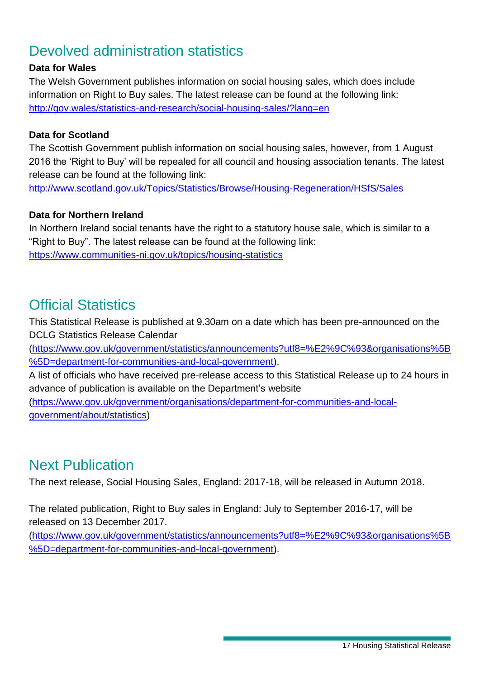### Devolved administration statistics

#### **Data for Wales**

The Welsh Government publishes information on social housing sales, which does include information on Right to Buy sales. The latest release can be found at the following link: <http://gov.wales/statistics-and-research/social-housing-sales/?lang=en>

#### **Data for Scotland**

The Scottish Government publish information on social housing sales, however, from 1 August 2016 the 'Right to Buy' will be repealed for all council and housing association tenants. The latest release can be found at the following link:

<http://www.scotland.gov.uk/Topics/Statistics/Browse/Housing-Regeneration/HSfS/Sales>

#### **Data for Northern Ireland**

In Northern Ireland social tenants have the right to a statutory house sale, which is similar to a "Right to Buy". The latest release can be found at the following link: <https://www.communities-ni.gov.uk/topics/housing-statistics>

### Official Statistics

This Statistical Release is published at 9.30am on a date which has been pre-announced on the DCLG Statistics Release Calendar

[\(https://www.gov.uk/government/statistics/announcements?utf8=%E2%9C%93&organisations%5B](https://www.gov.uk/government/statistics/announcements?utf8=%E2%9C%93&organisations%5B%5D=department-for-communities-and-local-government) [%5D=department-for-communities-and-local-government\)](https://www.gov.uk/government/statistics/announcements?utf8=%E2%9C%93&organisations%5B%5D=department-for-communities-and-local-government).

A list of officials who have received pre-release access to this Statistical Release up to 24 hours in advance of publication is available on the Department's website

[\(https://www.gov.uk/government/organisations/department-for-communities-and-local](https://www.gov.uk/government/organisations/department-for-communities-and-local-government/about/statistics)[government/about/statistics\)](https://www.gov.uk/government/organisations/department-for-communities-and-local-government/about/statistics)

### Next Publication

The next release, Social Housing Sales, England: 2017-18, will be released in Autumn 2018.

The related publication, Right to Buy sales in England: July to September 2016-17, will be released on 13 December 2017.

<span id="page-16-0"></span>[\(https://www.gov.uk/government/statistics/announcements?utf8=%E2%9C%93&organisations%5B](https://www.gov.uk/government/statistics/announcements?utf8=%E2%9C%93&organisations%5B%5D=department-for-communities-and-local-government) [%5D=department-for-communities-and-local-government\)](https://www.gov.uk/government/statistics/announcements?utf8=%E2%9C%93&organisations%5B%5D=department-for-communities-and-local-government).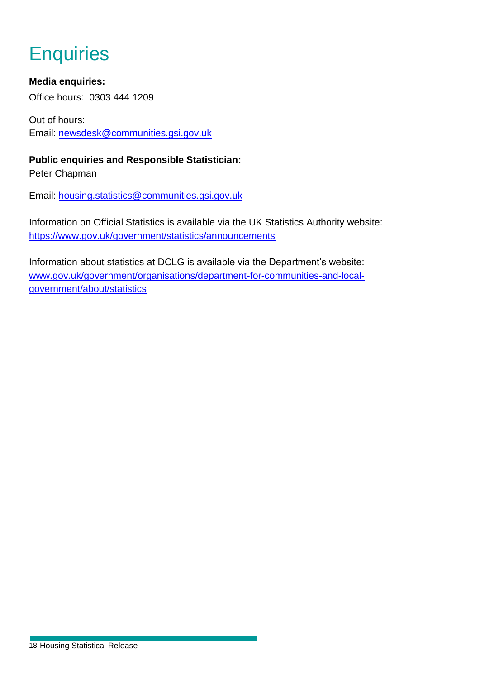## **Enquiries**

### **Media enquiries:**

Office hours: 0303 444 1209

Out of hours: Email: [newsdesk@communities.gsi.gov.uk](mailto:newsdesk@communities.gsi.gov.uk)

**Public enquiries and Responsible Statistician:** Peter Chapman

Email: [housing.statistics@communities.gsi.gov.uk](mailto:housing.statistics@communities.gsi.gov.uk)

Information on Official Statistics is available via the UK Statistics Authority website: <https://www.gov.uk/government/statistics/announcements>

Information about statistics at DCLG is available via the Department's website: [www.gov.uk/government/organisations/department-for-communities-and-local](http://www.gov.uk/government/organisations/department-for-communities-and-local-government/about/statistics)[government/about/statistics](http://www.gov.uk/government/organisations/department-for-communities-and-local-government/about/statistics)